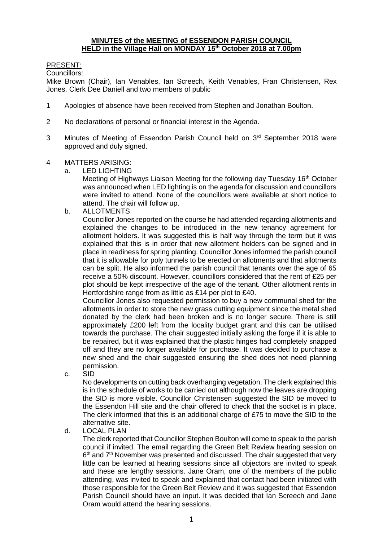#### **MINUTES of the MEETING of ESSENDON PARISH COUNCIL HELD in the Village Hall on MONDAY 15th October 2018 at 7.00pm**

# PRESENT:

Councillors:

Mike Brown (Chair), Ian Venables, Ian Screech, Keith Venables, Fran Christensen, Rex Jones. Clerk Dee Daniell and two members of public

- 1 Apologies of absence have been received from Stephen and Jonathan Boulton.
- 2 No declarations of personal or financial interest in the Agenda.
- 3 Minutes of Meeting of Essendon Parish Council held on 3<sup>rd</sup> September 2018 were approved and duly signed.
- 4 MATTERS ARISING:
	- a. LED LIGHTING

Meeting of Highways Liaison Meeting for the following day Tuesday 16<sup>th</sup> October was announced when LED lighting is on the agenda for discussion and councillors were invited to attend. None of the councillors were available at short notice to attend. The chair will follow up.

b. ALLOTMENTS

Councillor Jones reported on the course he had attended regarding allotments and explained the changes to be introduced in the new tenancy agreement for allotment holders. It was suggested this is half way through the term but it was explained that this is in order that new allotment holders can be signed and in place in readiness for spring planting. Councillor Jones informed the parish council that it is allowable for poly tunnels to be erected on allotments and that allotments can be split. He also informed the parish council that tenants over the age of 65 receive a 50% discount. However, councillors considered that the rent of £25 per plot should be kept irrespective of the age of the tenant. Other allotment rents in Hertfordshire range from as little as £14 per plot to £40.

Councillor Jones also requested permission to buy a new communal shed for the allotments in order to store the new grass cutting equipment since the metal shed donated by the clerk had been broken and is no longer secure. There is still approximately £200 left from the locality budget grant and this can be utilised towards the purchase. The chair suggested initially asking the forge if it is able to be repaired, but it was explained that the plastic hinges had completely snapped off and they are no longer available for purchase. It was decided to purchase a new shed and the chair suggested ensuring the shed does not need planning permission.

c. SID

No developments on cutting back overhanging vegetation. The clerk explained this is in the schedule of works to be carried out although now the leaves are dropping the SID is more visible. Councillor Christensen suggested the SID be moved to the Essendon Hill site and the chair offered to check that the socket is in place. The clerk informed that this is an additional charge of £75 to move the SID to the alternative site.

# d. LOCAL PLAN

The clerk reported that Councillor Stephen Boulton will come to speak to the parish council if invited. The email regarding the Green Belt Review hearing session on 6<sup>th</sup> and 7<sup>th</sup> November was presented and discussed. The chair suggested that very little can be learned at hearing sessions since all objectors are invited to speak and these are lengthy sessions. Jane Oram, one of the members of the public attending, was invited to speak and explained that contact had been initiated with those responsible for the Green Belt Review and it was suggested that Essendon Parish Council should have an input. It was decided that Ian Screech and Jane Oram would attend the hearing sessions.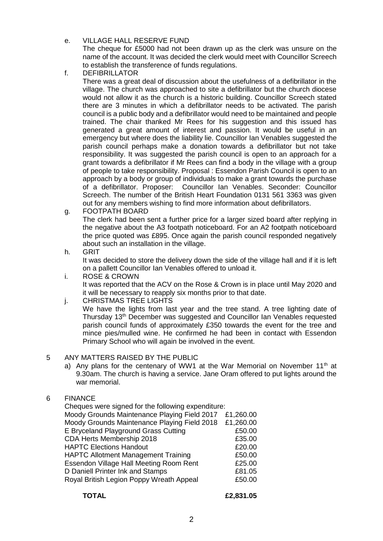- e. VILLAGE HALL RESERVE FUND The cheque for £5000 had not been drawn up as the clerk was unsure on the name of the account. It was decided the clerk would meet with Councillor Screech to establish the transference of funds regulations.
- f. DEFIBRILLATOR

There was a great deal of discussion about the usefulness of a defibrillator in the village. The church was approached to site a defibrillator but the church diocese would not allow it as the church is a historic building. Councillor Screech stated there are 3 minutes in which a defibrillator needs to be activated. The parish council is a public body and a defibrillator would need to be maintained and people trained. The chair thanked Mr Rees for his suggestion and this issued has generated a great amount of interest and passion. It would be useful in an emergency but where does the liability lie. Councillor Ian Venables suggested the parish council perhaps make a donation towards a defibrillator but not take responsibility. It was suggested the parish council is open to an approach for a grant towards a defibrillator if Mr Rees can find a body in the village with a group of people to take responsibility. Proposal : Essendon Parish Council is open to an approach by a body or group of individuals to make a grant towards the purchase of a defibrillator. Proposer: Councillor Ian Venables. Seconder: Councillor Screech. The number of the British Heart Foundation 0131 561 3363 was given out for any members wishing to find more information about defibrillators.

g. FOOTPATH BOARD

The clerk had been sent a further price for a larger sized board after replying in the negative about the A3 footpath noticeboard. For an A2 footpath noticeboard the price quoted was £895. Once again the parish council responded negatively about such an installation in the village.

h. GRIT

It was decided to store the delivery down the side of the village hall and if it is left on a pallett Councillor Ian Venables offered to unload it.

- i. ROSE & CROWN It was reported that the ACV on the Rose & Crown is in place until May 2020 and it will be necessary to reapply six months prior to that date.
- j. CHRISTMAS TREE LIGHTS

We have the lights from last year and the tree stand. A tree lighting date of Thursday 13th December was suggested and Councillor Ian Venables requested parish council funds of approximately £350 towards the event for the tree and mince pies/mulled wine. He confirmed he had been in contact with Essendon Primary School who will again be involved in the event.

# 5 ANY MATTERS RAISED BY THE PUBLIC

a) Any plans for the centenary of WW1 at the War Memorial on November 11<sup>th</sup> at 9.30am. The church is having a service. Jane Oram offered to put lights around the war memorial.

# 6 FINANCE

| Cheques were signed for the following expenditure: |           |
|----------------------------------------------------|-----------|
| Moody Grounds Maintenance Playing Field 2017       | £1,260.00 |
| Moody Grounds Maintenance Playing Field 2018       | £1,260.00 |
| E Bryceland Playground Grass Cutting               | £50.00    |
| CDA Herts Membership 2018                          | £35.00    |
| <b>HAPTC Elections Handout</b>                     | £20.00    |
| <b>HAPTC Allotment Management Training</b>         | £50.00    |
| Essendon Village Hall Meeting Room Rent            | £25.00    |
| D Daniell Printer Ink and Stamps                   | £81.05    |
| Royal British Legion Poppy Wreath Appeal           | £50.00    |
|                                                    |           |

**TOTAL £2,831.05**